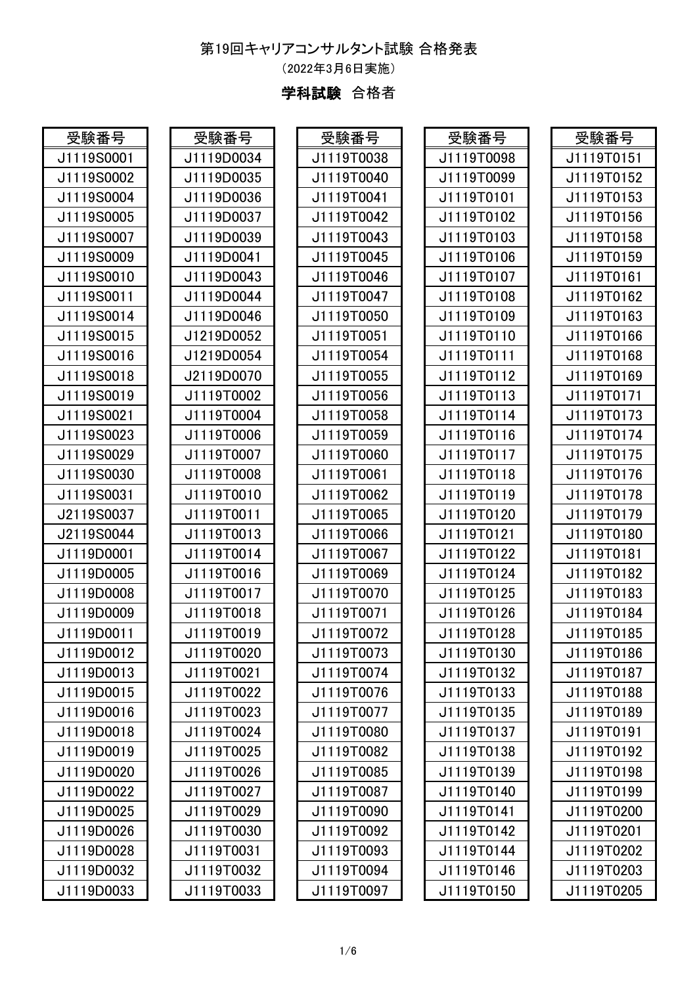## 第19回キャリアコンサルタント試験 合格発表

(2022年3月6日実施)

学科試験 合格者

| 受験番号       | 受験番号       | 受験番号       | 受験番号       | 受験番号       |
|------------|------------|------------|------------|------------|
| J1119S0001 | J1119D0034 | J1119T0038 | J1119T0098 | J1119T0151 |
| J1119S0002 | J1119D0035 | J1119T0040 | J1119T0099 | J1119T0152 |
| J1119S0004 | J1119D0036 | J1119T0041 | J1119T0101 | J1119T0153 |
| J1119S0005 | J1119D0037 | J1119T0042 | J1119T0102 | J1119T0156 |
| J1119S0007 | J1119D0039 | J1119T0043 | J1119T0103 | J1119T0158 |
| J1119S0009 | J1119D0041 | J1119T0045 | J1119T0106 | J1119T0159 |
| J1119S0010 | J1119D0043 | J1119T0046 | J1119T0107 | J1119T0161 |
| J1119S0011 | J1119D0044 | J1119T0047 | J1119T0108 | J1119T0162 |
| J1119S0014 | J1119D0046 | J1119T0050 | J1119T0109 | J1119T0163 |
| J1119S0015 | J1219D0052 | J1119T0051 | J1119T0110 | J1119T0166 |
| J1119S0016 | J1219D0054 | J1119T0054 | J1119T0111 | J1119T0168 |
| J1119S0018 | J2119D0070 | J1119T0055 | J1119T0112 | J1119T0169 |
| J1119S0019 | J1119T0002 | J1119T0056 | J1119T0113 | J1119T0171 |
| J1119S0021 | J1119T0004 | J1119T0058 | J1119T0114 | J1119T0173 |
| J1119S0023 | J1119T0006 | J1119T0059 | J1119T0116 | J1119T0174 |
| J1119S0029 | J1119T0007 | J1119T0060 | J1119T0117 | J1119T0175 |
| J1119S0030 | J1119T0008 | J1119T0061 | J1119T0118 | J1119T0176 |
| J1119S0031 | J1119T0010 | J1119T0062 | J1119T0119 | J1119T0178 |
| J2119S0037 | J1119T0011 | J1119T0065 | J1119T0120 | J1119T0179 |
| J2119S0044 | J1119T0013 | J1119T0066 | J1119T0121 | J1119T0180 |
| J1119D0001 | J1119T0014 | J1119T0067 | J1119T0122 | J1119T0181 |
| J1119D0005 | J1119T0016 | J1119T0069 | J1119T0124 | J1119T0182 |
| J1119D0008 | J1119T0017 | J1119T0070 | J1119T0125 | J1119T0183 |
| J1119D0009 | J1119T0018 | J1119T0071 | J1119T0126 | J1119T0184 |
| J1119D0011 | J1119T0019 | J1119T0072 | J1119T0128 | J1119T0185 |
| J1119D0012 | J1119T0020 | J1119T0073 | J1119T0130 | J1119T0186 |
| J1119D0013 | J1119T0021 | J1119T0074 | J1119T0132 | J1119T0187 |
| J1119D0015 | J1119T0022 | J1119T0076 | J1119T0133 | J1119T0188 |
| J1119D0016 | J1119T0023 | J1119T0077 | J1119T0135 | J1119T0189 |
| J1119D0018 | J1119T0024 | J1119T0080 | J1119T0137 | J1119T0191 |
| J1119D0019 | J1119T0025 | J1119T0082 | J1119T0138 | J1119T0192 |
| J1119D0020 | J1119T0026 | J1119T0085 | J1119T0139 | J1119T0198 |
| J1119D0022 | J1119T0027 | J1119T0087 | J1119T0140 | J1119T0199 |
| J1119D0025 | J1119T0029 | J1119T0090 | J1119T0141 | J1119T0200 |
| J1119D0026 | J1119T0030 | J1119T0092 | J1119T0142 | J1119T0201 |
| J1119D0028 | J1119T0031 | J1119T0093 | J1119T0144 | J1119T0202 |
| J1119D0032 | J1119T0032 | J1119T0094 | J1119T0146 | J1119T0203 |
| J1119D0033 | J1119T0033 | J1119T0097 | J1119T0150 | J1119T0205 |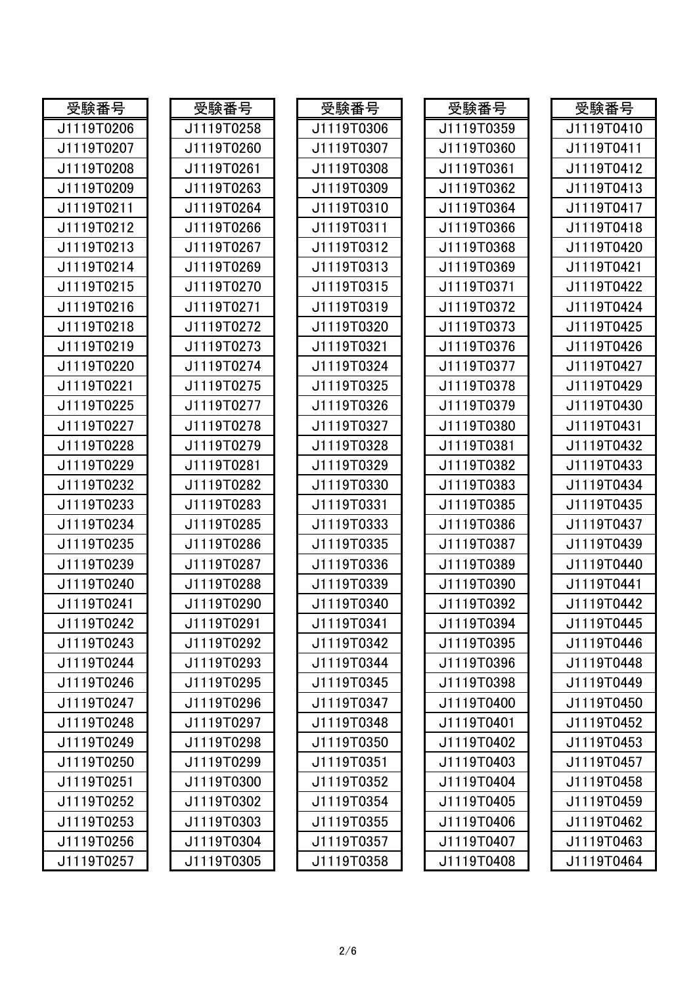| 受験番号       | 受験番号       | 受験番号       | 受験番号       | 受験番号       |
|------------|------------|------------|------------|------------|
| J1119T0206 | J1119T0258 | J1119T0306 | J1119T0359 | J1119T0410 |
| J1119T0207 | J1119T0260 | J1119T0307 | J1119T0360 | J1119T0411 |
| J1119T0208 | J1119T0261 | J1119T0308 | J1119T0361 | J1119T0412 |
| J1119T0209 | J1119T0263 | J1119T0309 | J1119T0362 | J1119T0413 |
| J1119T0211 | J1119T0264 | J1119T0310 | J1119T0364 | J1119T0417 |
| J1119T0212 | J1119T0266 | J1119T0311 | J1119T0366 | J1119T0418 |
| J1119T0213 | J1119T0267 | J1119T0312 | J1119T0368 | J1119T0420 |
| J1119T0214 | J1119T0269 | J1119T0313 | J1119T0369 | J1119T0421 |
| J1119T0215 | J1119T0270 | J1119T0315 | J1119T0371 | J1119T0422 |
| J1119T0216 | J1119T0271 | J1119T0319 | J1119T0372 | J1119T0424 |
| J1119T0218 | J1119T0272 | J1119T0320 | J1119T0373 | J1119T0425 |
| J1119T0219 | J1119T0273 | J1119T0321 | J1119T0376 | J1119T0426 |
| J1119T0220 | J1119T0274 | J1119T0324 | J1119T0377 | J1119T0427 |
| J1119T0221 | J1119T0275 | J1119T0325 | J1119T0378 | J1119T0429 |
| J1119T0225 | J1119T0277 | J1119T0326 | J1119T0379 | J1119T0430 |
| J1119T0227 | J1119T0278 | J1119T0327 | J1119T0380 | J1119T0431 |
| J1119T0228 | J1119T0279 | J1119T0328 | J1119T0381 | J1119T0432 |
| J1119T0229 | J1119T0281 | J1119T0329 | J1119T0382 | J1119T0433 |
| J1119T0232 | J1119T0282 | J1119T0330 | J1119T0383 | J1119T0434 |
| J1119T0233 | J1119T0283 | J1119T0331 | J1119T0385 | J1119T0435 |
| J1119T0234 | J1119T0285 | J1119T0333 | J1119T0386 | J1119T0437 |
| J1119T0235 | J1119T0286 | J1119T0335 | J1119T0387 | J1119T0439 |
| J1119T0239 | J1119T0287 | J1119T0336 | J1119T0389 | J1119T0440 |
| J1119T0240 | J1119T0288 | J1119T0339 | J1119T0390 | J1119T0441 |
| J1119T0241 | J1119T0290 | J1119T0340 | J1119T0392 | J1119T0442 |
| J1119T0242 | J1119T0291 | J1119T0341 | J1119T0394 | J1119T0445 |
| J1119T0243 | J1119T0292 | J1119T0342 | J1119T0395 | J1119T0446 |
| J1119T0244 | J1119T0293 | J1119T0344 | J1119T0396 | J1119T0448 |
| J1119T0246 | J1119T0295 | J1119T0345 | J1119T0398 | J1119T0449 |
| J1119T0247 | J1119T0296 | J1119T0347 | J1119T0400 | J1119T0450 |
| J1119T0248 | J1119T0297 | J1119T0348 | J1119T0401 | J1119T0452 |
| J1119T0249 | J1119T0298 | J1119T0350 | J1119T0402 | J1119T0453 |
| J1119T0250 | J1119T0299 | J1119T0351 | J1119T0403 | J1119T0457 |
| J1119T0251 | J1119T0300 | J1119T0352 | J1119T0404 | J1119T0458 |
| J1119T0252 | J1119T0302 | J1119T0354 | J1119T0405 | J1119T0459 |
| J1119T0253 | J1119T0303 | J1119T0355 | J1119T0406 | J1119T0462 |
| J1119T0256 | J1119T0304 | J1119T0357 | J1119T0407 | J1119T0463 |
| J1119T0257 | J1119T0305 | J1119T0358 | J1119T0408 | J1119T0464 |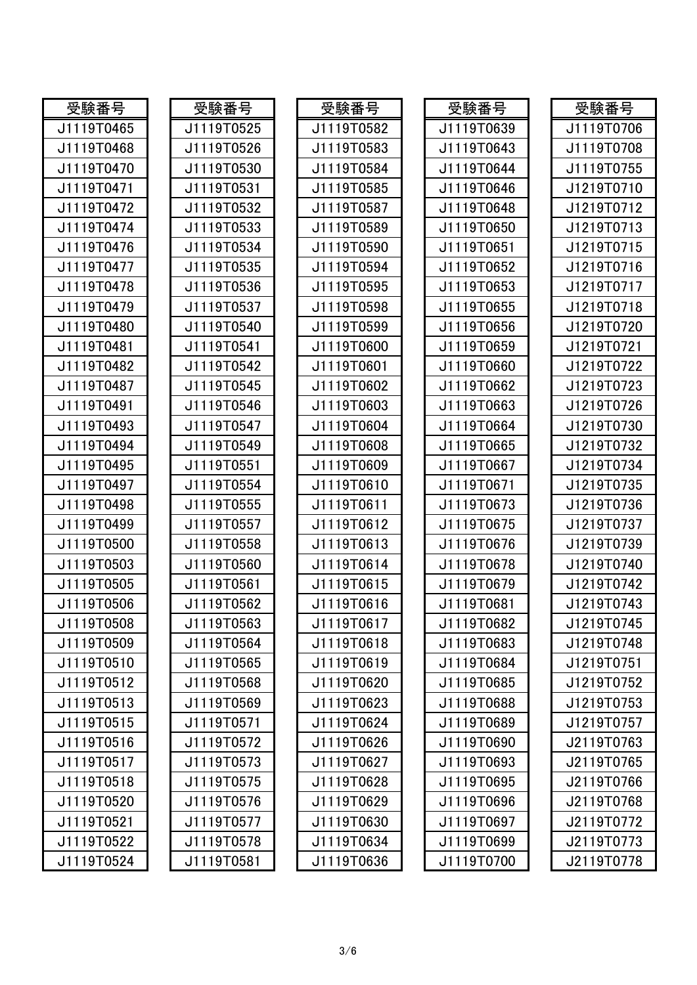| 受験番号       | 受験番号       | 受験番号       | 受験番号       | 受験番号       |
|------------|------------|------------|------------|------------|
| J1119T0465 | J1119T0525 | J1119T0582 | J1119T0639 | J1119T0706 |
| J1119T0468 | J1119T0526 | J1119T0583 | J1119T0643 | J1119T0708 |
| J1119T0470 | J1119T0530 | J1119T0584 | J1119T0644 | J1119T0755 |
| J1119T0471 | J1119T0531 | J1119T0585 | J1119T0646 | J1219T0710 |
| J1119T0472 | J1119T0532 | J1119T0587 | J1119T0648 | J1219T0712 |
| J1119T0474 | J1119T0533 | J1119T0589 | J1119T0650 | J1219T0713 |
| J1119T0476 | J1119T0534 | J1119T0590 | J1119T0651 | J1219T0715 |
| J1119T0477 | J1119T0535 | J1119T0594 | J1119T0652 | J1219T0716 |
| J1119T0478 | J1119T0536 | J1119T0595 | J1119T0653 | J1219T0717 |
| J1119T0479 | J1119T0537 | J1119T0598 | J1119T0655 | J1219T0718 |
| J1119T0480 | J1119T0540 | J1119T0599 | J1119T0656 | J1219T0720 |
| J1119T0481 | J1119T0541 | J1119T0600 | J1119T0659 | J1219T0721 |
| J1119T0482 | J1119T0542 | J1119T0601 | J1119T0660 | J1219T0722 |
| J1119T0487 | J1119T0545 | J1119T0602 | J1119T0662 | J1219T0723 |
| J1119T0491 | J1119T0546 | J1119T0603 | J1119T0663 | J1219T0726 |
| J1119T0493 | J1119T0547 | J1119T0604 | J1119T0664 | J1219T0730 |
| J1119T0494 | J1119T0549 | J1119T0608 | J1119T0665 | J1219T0732 |
| J1119T0495 | J1119T0551 | J1119T0609 | J1119T0667 | J1219T0734 |
| J1119T0497 | J1119T0554 | J1119T0610 | J1119T0671 | J1219T0735 |
| J1119T0498 | J1119T0555 | J1119T0611 | J1119T0673 | J1219T0736 |
| J1119T0499 | J1119T0557 | J1119T0612 | J1119T0675 | J1219T0737 |
| J1119T0500 | J1119T0558 | J1119T0613 | J1119T0676 | J1219T0739 |
| J1119T0503 | J1119T0560 | J1119T0614 | J1119T0678 | J1219T0740 |
| J1119T0505 | J1119T0561 | J1119T0615 | J1119T0679 | J1219T0742 |
| J1119T0506 | J1119T0562 | J1119T0616 | J1119T0681 | J1219T0743 |
| J1119T0508 | J1119T0563 | J1119T0617 | J1119T0682 | J1219T0745 |
| J1119T0509 | J1119T0564 | J1119T0618 | J1119T0683 | J1219T0748 |
| J1119T0510 | J1119T0565 | J1119T0619 | J1119T0684 | J1219T0751 |
| J1119T0512 | J1119T0568 | J1119T0620 | J1119T0685 | J1219T0752 |
| J1119T0513 | J1119T0569 | J1119T0623 | J1119T0688 | J1219T0753 |
| J1119T0515 | J1119T0571 | J1119T0624 | J1119T0689 | J1219T0757 |
| J1119T0516 | J1119T0572 | J1119T0626 | J1119T0690 | J2119T0763 |
| J1119T0517 | J1119T0573 | J1119T0627 | J1119T0693 | J2119T0765 |
| J1119T0518 | J1119T0575 | J1119T0628 | J1119T0695 | J2119T0766 |
| J1119T0520 | J1119T0576 | J1119T0629 | J1119T0696 | J2119T0768 |
| J1119T0521 | J1119T0577 | J1119T0630 | J1119T0697 | J2119T0772 |
| J1119T0522 | J1119T0578 | J1119T0634 | J1119T0699 | J2119T0773 |
| J1119T0524 | J1119T0581 | J1119T0636 | J1119T0700 | J2119T0778 |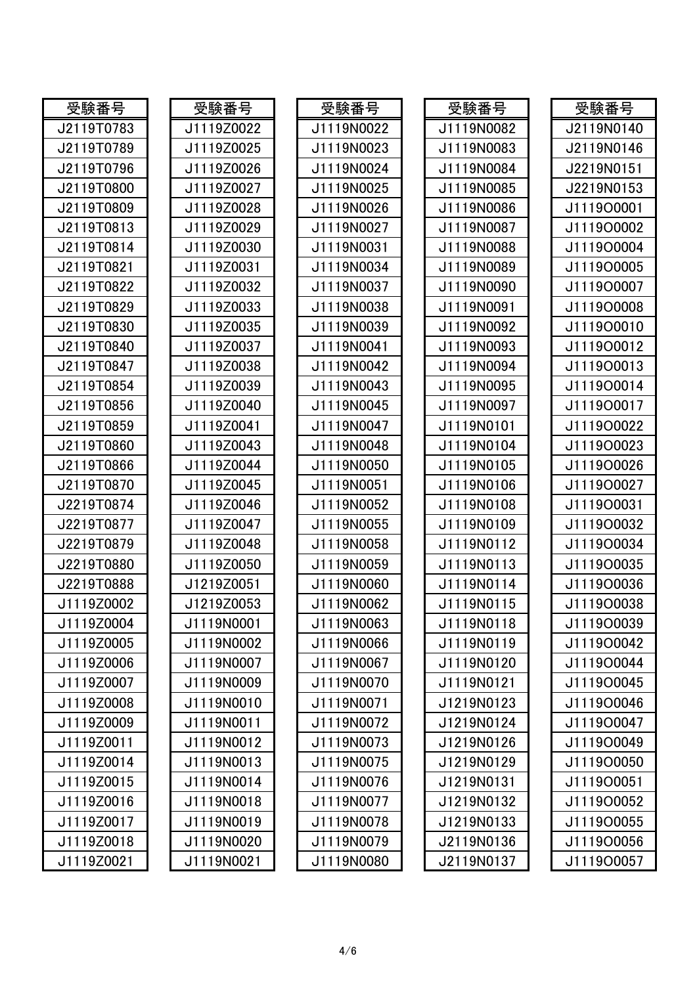| 受験番号       | 受験番号       | 受験番号       | 受験番号       | 受験番号       |
|------------|------------|------------|------------|------------|
| J2119T0783 | J1119Z0022 | J1119N0022 | J1119N0082 | J2119N0140 |
| J2119T0789 | J1119Z0025 | J1119N0023 | J1119N0083 | J2119N0146 |
| J2119T0796 | J1119Z0026 | J1119N0024 | J1119N0084 | J2219N0151 |
| J2119T0800 | J1119Z0027 | J1119N0025 | J1119N0085 | J2219N0153 |
| J2119T0809 | J1119Z0028 | J1119N0026 | J1119N0086 | J1119O0001 |
| J2119T0813 | J1119Z0029 | J1119N0027 | J1119N0087 | J1119O0002 |
| J2119T0814 | J1119Z0030 | J1119N0031 | J1119N0088 | J1119O0004 |
| J2119T0821 | J1119Z0031 | J1119N0034 | J1119N0089 | J1119O0005 |
| J2119T0822 | J1119Z0032 | J1119N0037 | J1119N0090 | J1119O0007 |
| J2119T0829 | J1119Z0033 | J1119N0038 | J1119N0091 | J1119O0008 |
| J2119T0830 | J1119Z0035 | J1119N0039 | J1119N0092 | J1119O0010 |
| J2119T0840 | J1119Z0037 | J1119N0041 | J1119N0093 | J1119O0012 |
| J2119T0847 | J1119Z0038 | J1119N0042 | J1119N0094 | J1119O0013 |
| J2119T0854 | J1119Z0039 | J1119N0043 | J1119N0095 | J1119O0014 |
| J2119T0856 | J1119Z0040 | J1119N0045 | J1119N0097 | J1119O0017 |
| J2119T0859 | J1119Z0041 | J1119N0047 | J1119N0101 | J1119O0022 |
| J2119T0860 | J1119Z0043 | J1119N0048 | J1119N0104 | J1119O0023 |
| J2119T0866 | J1119Z0044 | J1119N0050 | J1119N0105 | J1119O0026 |
| J2119T0870 | J1119Z0045 | J1119N0051 | J1119N0106 | J1119O0027 |
| J2219T0874 | J1119Z0046 | J1119N0052 | J1119N0108 | J1119O0031 |
| J2219T0877 | J1119Z0047 | J1119N0055 | J1119N0109 | J1119O0032 |
| J2219T0879 | J1119Z0048 | J1119N0058 | J1119N0112 | J1119O0034 |
| J2219T0880 | J1119Z0050 | J1119N0059 | J1119N0113 | J1119O0035 |
| J2219T0888 | J1219Z0051 | J1119N0060 | J1119N0114 | J1119O0036 |
| J1119Z0002 | J1219Z0053 | J1119N0062 | J1119N0115 | J1119O0038 |
| J1119Z0004 | J1119N0001 | J1119N0063 | J1119N0118 | J1119O0039 |
| J1119Z0005 | J1119N0002 | J1119N0066 | J1119N0119 | J1119O0042 |
| J1119Z0006 | J1119N0007 | J1119N0067 | J1119N0120 | J1119O0044 |
| J1119Z0007 | J1119N0009 | J1119N0070 | J1119N0121 | J1119O0045 |
| J1119Z0008 | J1119N0010 | J1119N0071 | J1219N0123 | J1119O0046 |
| J1119Z0009 | J1119N0011 | J1119N0072 | J1219N0124 | J1119O0047 |
| J1119Z0011 | J1119N0012 | J1119N0073 | J1219N0126 | J1119O0049 |
| J1119Z0014 | J1119N0013 | J1119N0075 | J1219N0129 | J1119O0050 |
| J1119Z0015 | J1119N0014 | J1119N0076 | J1219N0131 | J1119O0051 |
| J1119Z0016 | J1119N0018 | J1119N0077 | J1219N0132 | J1119O0052 |
| J1119Z0017 | J1119N0019 | J1119N0078 | J1219N0133 | J1119O0055 |
| J1119Z0018 | J1119N0020 | J1119N0079 | J2119N0136 | J1119O0056 |
| J1119Z0021 | J1119N0021 | J1119N0080 | J2119N0137 | J1119O0057 |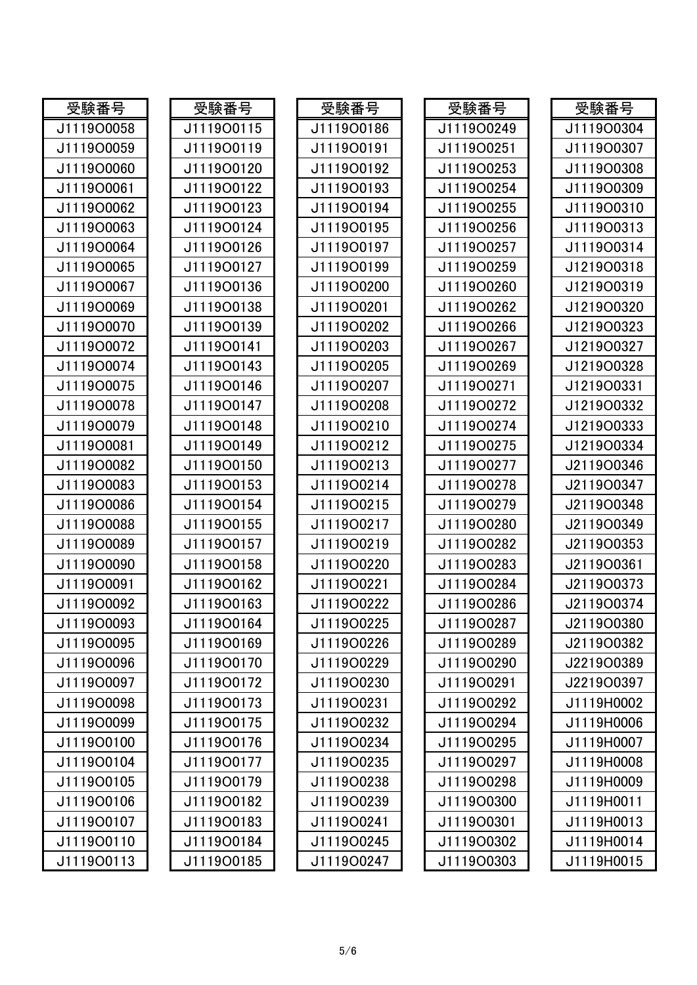| 受験番号       | 受験番号       | 受験番号       | 受験番号       | 受験番号       |
|------------|------------|------------|------------|------------|
| J1119O0058 | J1119O0115 | J1119O0186 | J1119O0249 | J1119O0304 |
| J1119O0059 | J1119O0119 | J1119O0191 | J1119O0251 | J1119O0307 |
| J1119O0060 | J1119O0120 | J1119O0192 | J1119O0253 | J1119O0308 |
| J1119O0061 | J1119O0122 | J1119O0193 | J1119O0254 | J1119O0309 |
| J1119O0062 | J1119O0123 | J1119O0194 | J1119O0255 | J1119O0310 |
| J1119O0063 | J1119O0124 | J1119O0195 | J1119O0256 | J1119O0313 |
| J1119O0064 | J1119O0126 | J1119O0197 | J1119O0257 | J1119O0314 |
| J1119O0065 | J1119O0127 | J1119O0199 | J1119O0259 | J1219O0318 |
| J1119O0067 | J1119O0136 | J1119O0200 | J1119O0260 | J1219O0319 |
| J1119O0069 | J1119O0138 | J1119O0201 | J1119O0262 | J1219O0320 |
| J1119O0070 | J1119O0139 | J1119O0202 | J1119O0266 | J1219O0323 |
| J1119O0072 | J1119O0141 | J1119O0203 | J1119O0267 | J1219O0327 |
| J1119O0074 | J1119O0143 | J1119O0205 | J1119O0269 | J1219O0328 |
| J1119O0075 | J1119O0146 | J1119O0207 | J1119O0271 | J1219O0331 |
| J1119O0078 | J1119O0147 | J1119O0208 | J1119O0272 | J1219O0332 |
| J1119O0079 | J1119O0148 | J1119O0210 | J1119O0274 | J1219O0333 |
| J1119O0081 | J1119O0149 | J1119O0212 | J1119O0275 | J1219O0334 |
| J1119O0082 | J1119O0150 | J1119O0213 | J1119O0277 | J2119O0346 |
| J1119O0083 | J1119O0153 | J1119O0214 | J1119O0278 | J2119O0347 |
| J1119O0086 | J1119O0154 | J1119O0215 | J1119O0279 | J2119O0348 |
| J1119O0088 | J1119O0155 | J1119O0217 | J1119O0280 | J2119O0349 |
| J1119O0089 | J1119O0157 | J1119O0219 | J1119O0282 | J2119O0353 |
| J1119O0090 | J1119O0158 | J1119O0220 | J1119O0283 | J2119O0361 |
| J1119O0091 | J1119O0162 | J1119O0221 | J1119O0284 | J2119O0373 |
| J1119O0092 | J1119O0163 | J1119O0222 | J1119O0286 | J2119O0374 |
| J1119O0093 | J1119O0164 | J1119O0225 | J1119O0287 | J2119O0380 |
| J1119O0095 | J1119O0169 | J1119O0226 | J1119O0289 | J2119O0382 |
| J1119O0096 | J1119O0170 | J1119O0229 | J1119O0290 | J2219O0389 |
| J1119O0097 | J1119O0172 | J1119O0230 | J1119O0291 | J2219O0397 |
| J1119O0098 | J1119O0173 | J1119O0231 | J1119O0292 | J1119H0002 |
| J1119O0099 | J1119O0175 | J1119O0232 | J1119O0294 | J1119H0006 |
| J1119O0100 | J1119O0176 | J1119O0234 | J1119O0295 | J1119H0007 |
| J1119O0104 | J1119O0177 | J1119O0235 | J1119O0297 | J1119H0008 |
| J1119O0105 | J1119O0179 | J1119O0238 | J1119O0298 | J1119H0009 |
| J1119O0106 | J1119O0182 | J1119O0239 | J1119O0300 | J1119H0011 |
| J1119O0107 | J1119O0183 | J1119O0241 | J1119O0301 | J1119H0013 |
| J1119O0110 | J1119O0184 | J1119O0245 | J1119O0302 | J1119H0014 |
| J1119O0113 | J1119O0185 | J1119O0247 | J1119O0303 | J1119H0015 |